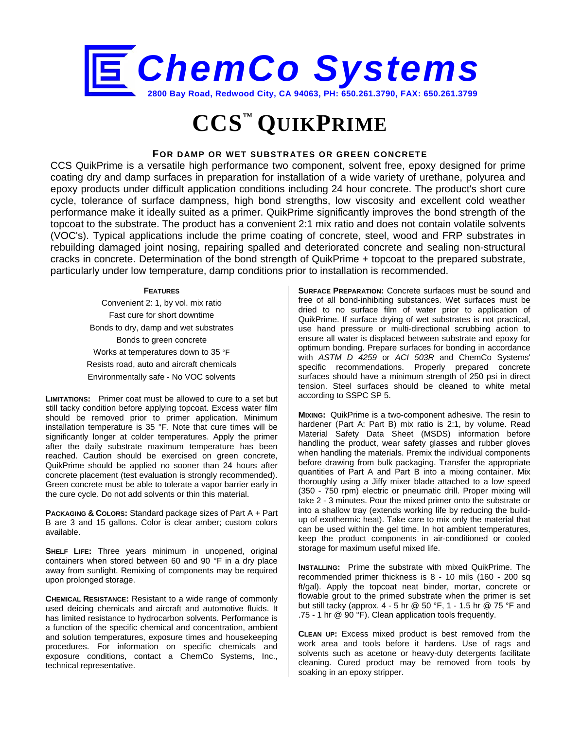

# **CCS™ QUIKPRIME**

## **FOR DAMP OR WET SUBSTRATES OR GREEN CONCRETE**

CCS QuikPrime is a versatile high performance two component, solvent free, epoxy designed for prime coating dry and damp surfaces in preparation for installation of a wide variety of urethane, polyurea and epoxy products under difficult application conditions including 24 hour concrete. The product's short cure cycle, tolerance of surface dampness, high bond strengths, low viscosity and excellent cold weather performance make it ideally suited as a primer. QuikPrime significantly improves the bond strength of the topcoat to the substrate. The product has a convenient 2:1 mix ratio and does not contain volatile solvents (VOC's). Typical applications include the prime coating of concrete, steel, wood and FRP substrates in rebuilding damaged joint nosing, repairing spalled and deteriorated concrete and sealing non-structural cracks in concrete. Determination of the bond strength of QuikPrime + topcoat to the prepared substrate, particularly under low temperature, damp conditions prior to installation is recommended.

#### **FEATURES**

Convenient 2: 1, by vol. mix ratio Fast cure for short downtime Bonds to dry, damp and wet substrates Bonds to green concrete Works at temperatures down to 35 °F Resists road, auto and aircraft chemicals Environmentally safe - No VOC solvents

**LIMITATIONS:** Primer coat must be allowed to cure to a set but still tacky condition before applying topcoat. Excess water film should be removed prior to primer application. Minimum installation temperature is 35 °F. Note that cure times will be significantly longer at colder temperatures. Apply the primer after the daily substrate maximum temperature has been reached. Caution should be exercised on green concrete, QuikPrime should be applied no sooner than 24 hours after concrete placement (test evaluation is strongly recommended). Green concrete must be able to tolerate a vapor barrier early in the cure cycle. Do not add solvents or thin this material.

**PACKAGING & COLORS:** Standard package sizes of Part A + Part B are 3 and 15 gallons. Color is clear amber; custom colors available.

**SHELF LIFE:** Three years minimum in unopened, original containers when stored between 60 and 90 °F in a dry place away from sunlight. Remixing of components may be required upon prolonged storage.

**CHEMICAL RESISTANCE:** Resistant to a wide range of commonly used deicing chemicals and aircraft and automotive fluids. It has limited resistance to hydrocarbon solvents. Performance is a function of the specific chemical and concentration, ambient and solution temperatures, exposure times and housekeeping procedures. For information on specific chemicals and exposure conditions, contact a ChemCo Systems, Inc., technical representative.

**SURFACE PREPARATION:** Concrete surfaces must be sound and free of all bond-inhibiting substances. Wet surfaces must be dried to no surface film of water prior to application of QuikPrime. If surface drying of wet substrates is not practical, use hand pressure or multi-directional scrubbing action to ensure all water is displaced between substrate and epoxy for optimum bonding. Prepare surfaces for bonding in accordance with *ASTM D 4259* or *ACI 503R* and ChemCo Systems' specific recommendations. Properly prepared concrete surfaces should have a minimum strength of 250 psi in direct tension. Steel surfaces should be cleaned to white metal according to SSPC SP 5.

**MIXING:** QuikPrime is a two-component adhesive. The resin to hardener (Part A: Part B) mix ratio is 2:1, by volume. Read Material Safety Data Sheet (MSDS) information before handling the product, wear safety glasses and rubber gloves when handling the materials. Premix the individual components before drawing from bulk packaging. Transfer the appropriate quantities of Part A and Part B into a mixing container. Mix thoroughly using a Jiffy mixer blade attached to a low speed (350 - 750 rpm) electric or pneumatic drill. Proper mixing will take 2 - 3 minutes. Pour the mixed primer onto the substrate or into a shallow tray (extends working life by reducing the buildup of exothermic heat). Take care to mix only the material that can be used within the gel time. In hot ambient temperatures, keep the product components in air-conditioned or cooled storage for maximum useful mixed life.

**INSTALLING:** Prime the substrate with mixed QuikPrime. The recommended primer thickness is 8 - 10 mils (160 - 200 sq ft/gal). Apply the topcoat neat binder, mortar, concrete or flowable grout to the primed substrate when the primer is set but still tacky (approx. 4 - 5 hr @ 50 °F, 1 - 1.5 hr @ 75 °F and .75 - 1 hr @ 90 °F). Clean application tools frequently.

**CLEAN UP:** Excess mixed product is best removed from the work area and tools before it hardens. Use of rags and solvents such as acetone or heavy-duty detergents facilitate cleaning. Cured product may be removed from tools by soaking in an epoxy stripper.